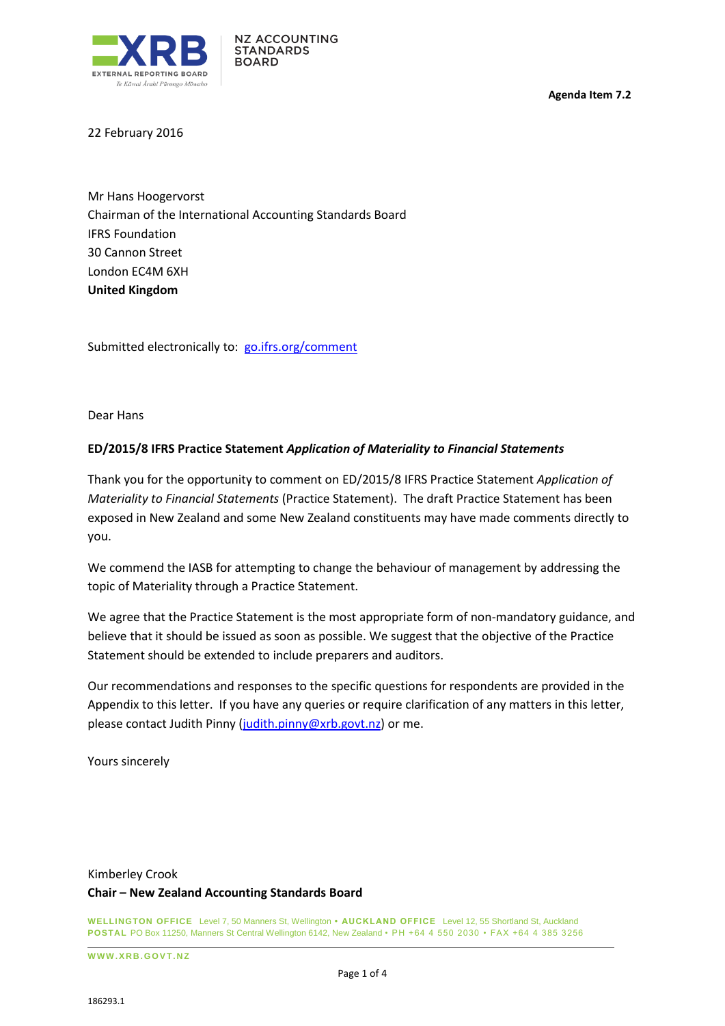

**Agenda Item 7.2**

22 February 2016

Mr Hans Hoogervorst Chairman of the International Accounting Standards Board IFRS Foundation 30 Cannon Street London EC4M 6XH **United Kingdom**

Submitted electronically to: [go.ifrs.org/](mailto:commentletters@ifrs.org)comment

Dear Hans

### **ED/2015/8 IFRS Practice Statement** *Application of Materiality to Financial Statements*

Thank you for the opportunity to comment on ED/2015/8 IFRS Practice Statement *Application of Materiality to Financial Statements* (Practice Statement). The draft Practice Statement has been exposed in New Zealand and some New Zealand constituents may have made comments directly to you.

We commend the IASB for attempting to change the behaviour of management by addressing the topic of Materiality through a Practice Statement.

We agree that the Practice Statement is the most appropriate form of non-mandatory guidance, and believe that it should be issued as soon as possible. We suggest that the objective of the Practice Statement should be extended to include preparers and auditors.

Our recommendations and responses to the specific questions for respondents are provided in the Appendix to this letter. If you have any queries or require clarification of any matters in this letter, please contact Judith Pinny [\(judith.pinny@xrb.govt.nz\)](mailto:judith.pinny@xrb.govt.nz) or me.

Yours sincerely

# Kimberley Crook **Chair – New Zealand Accounting Standards Board**

**WELLINGTON OFFICE** Level 7, 50 Manners St, Wellington **• AUCKLAND OFFICE** Level 12, 55 Shortland St, Auckland **POSTAL** PO Box 11250, Manners St Central Wellington 6142, New Zealand • PH +64 4 550 2030 • FAX +64 4 385 3256

**W W W .X R B . G OV T .N Z**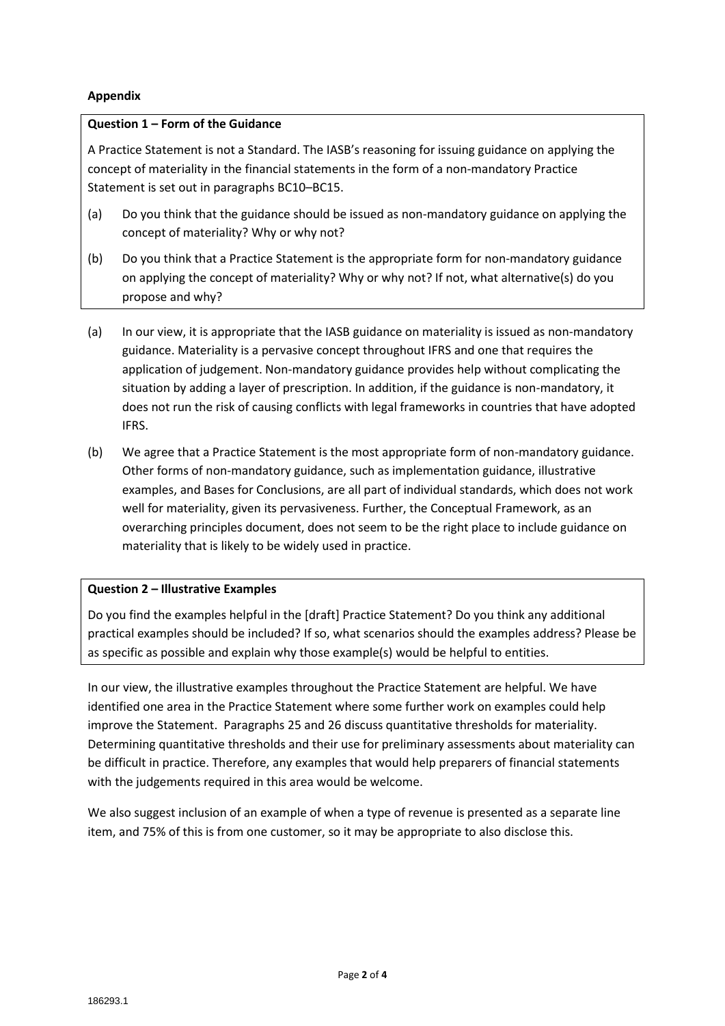## **Appendix**

### **Question 1 – Form of the Guidance**

A Practice Statement is not a Standard. The IASB's reasoning for issuing guidance on applying the concept of materiality in the financial statements in the form of a non-mandatory Practice Statement is set out in paragraphs BC10–BC15.

- (a) Do you think that the guidance should be issued as non-mandatory guidance on applying the concept of materiality? Why or why not?
- (b) Do you think that a Practice Statement is the appropriate form for non-mandatory guidance on applying the concept of materiality? Why or why not? If not, what alternative(s) do you propose and why?
- (a) In our view, it is appropriate that the IASB guidance on materiality is issued as non-mandatory guidance. Materiality is a pervasive concept throughout IFRS and one that requires the application of judgement. Non-mandatory guidance provides help without complicating the situation by adding a layer of prescription. In addition, if the guidance is non-mandatory, it does not run the risk of causing conflicts with legal frameworks in countries that have adopted IFRS.
- (b) We agree that a Practice Statement is the most appropriate form of non-mandatory guidance. Other forms of non-mandatory guidance, such as implementation guidance, illustrative examples, and Bases for Conclusions, are all part of individual standards, which does not work well for materiality, given its pervasiveness. Further, the Conceptual Framework, as an overarching principles document, does not seem to be the right place to include guidance on materiality that is likely to be widely used in practice.

## **Question 2 – Illustrative Examples**

Do you find the examples helpful in the [draft] Practice Statement? Do you think any additional practical examples should be included? If so, what scenarios should the examples address? Please be as specific as possible and explain why those example(s) would be helpful to entities.

In our view, the illustrative examples throughout the Practice Statement are helpful. We have identified one area in the Practice Statement where some further work on examples could help improve the Statement. Paragraphs 25 and 26 discuss quantitative thresholds for materiality. Determining quantitative thresholds and their use for preliminary assessments about materiality can be difficult in practice. Therefore, any examples that would help preparers of financial statements with the judgements required in this area would be welcome.

We also suggest inclusion of an example of when a type of revenue is presented as a separate line item, and 75% of this is from one customer, so it may be appropriate to also disclose this.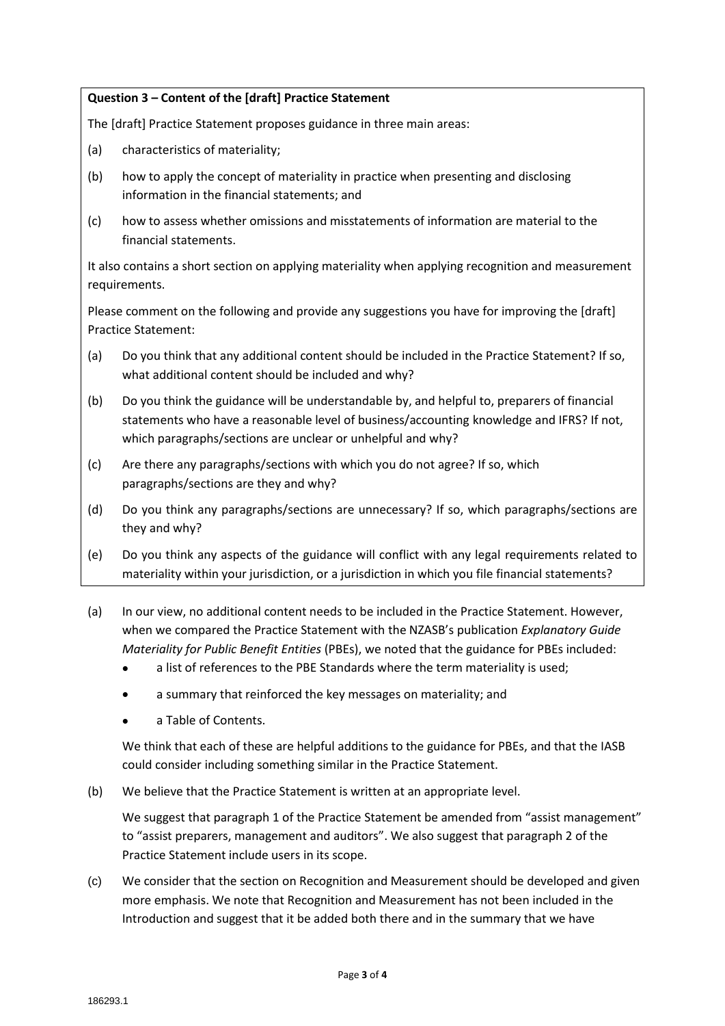### **Question 3 – Content of the [draft] Practice Statement**

The [draft] Practice Statement proposes guidance in three main areas:

- (a) characteristics of materiality;
- (b) how to apply the concept of materiality in practice when presenting and disclosing information in the financial statements; and
- (c) how to assess whether omissions and misstatements of information are material to the financial statements.

It also contains a short section on applying materiality when applying recognition and measurement requirements.

Please comment on the following and provide any suggestions you have for improving the [draft] Practice Statement:

- (a) Do you think that any additional content should be included in the Practice Statement? If so, what additional content should be included and why?
- (b) Do you think the guidance will be understandable by, and helpful to, preparers of financial statements who have a reasonable level of business/accounting knowledge and IFRS? If not, which paragraphs/sections are unclear or unhelpful and why?
- (c) Are there any paragraphs/sections with which you do not agree? If so, which paragraphs/sections are they and why?
- (d) Do you think any paragraphs/sections are unnecessary? If so, which paragraphs/sections are they and why?
- (e) Do you think any aspects of the guidance will conflict with any legal requirements related to materiality within your jurisdiction, or a jurisdiction in which you file financial statements?
- (a) In our view, no additional content needs to be included in the Practice Statement. However, when we compared the Practice Statement with the NZASB's publication *Explanatory Guide Materiality for Public Benefit Entities* (PBEs), we noted that the guidance for PBEs included:
	- a list of references to the PBE Standards where the term materiality is used;
	- a summary that reinforced the key messages on materiality; and
	- a Table of Contents.

We think that each of these are helpful additions to the guidance for PBEs, and that the IASB could consider including something similar in the Practice Statement.

(b) We believe that the Practice Statement is written at an appropriate level.

We suggest that paragraph 1 of the Practice Statement be amended from "assist management" to "assist preparers, management and auditors". We also suggest that paragraph 2 of the Practice Statement include users in its scope.

(c) We consider that the section on Recognition and Measurement should be developed and given more emphasis. We note that Recognition and Measurement has not been included in the Introduction and suggest that it be added both there and in the summary that we have